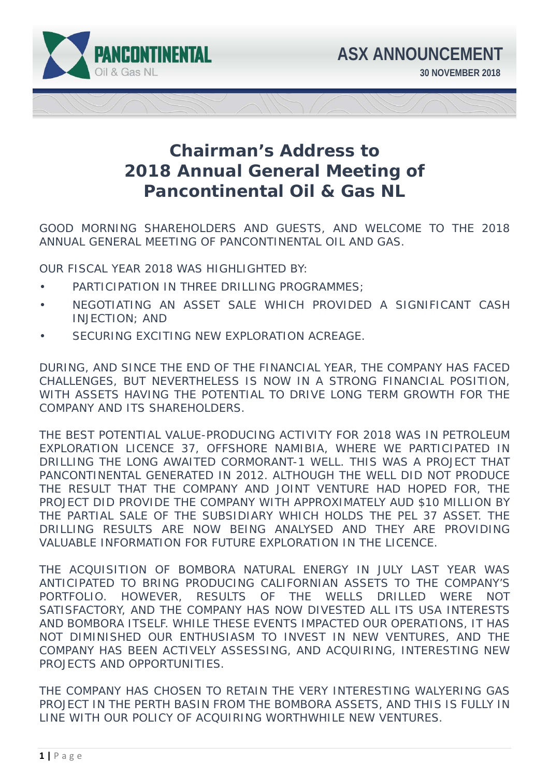

## **Chairman's Address to 2018 Annual General Meeting of Pancontinental Oil & Gas NL**

GOOD MORNING SHAREHOLDERS AND GUESTS, AND WELCOME TO THE 2018 ANNUAL GENERAL MEETING OF PANCONTINENTAL OIL AND GAS.

OUR FISCAL YEAR 2018 WAS HIGHLIGHTED BY:

- PARTICIPATION IN THREE DRILLING PROGRAMMES;
- NEGOTIATING AN ASSET SALE WHICH PROVIDED A SIGNIFICANT CASH INJECTION; AND
- SECURING EXCITING NEW EXPLORATION ACREAGE.

DURING, AND SINCE THE END OF THE FINANCIAL YEAR, THE COMPANY HAS FACED CHALLENGES, BUT NEVERTHELESS IS NOW IN A STRONG FINANCIAL POSITION, WITH ASSETS HAVING THE POTENTIAL TO DRIVE LONG TERM GROWTH FOR THE COMPANY AND ITS SHAREHOLDERS.

THE BEST POTENTIAL VALUE-PRODUCING ACTIVITY FOR 2018 WAS IN PETROLEUM EXPLORATION LICENCE 37, OFFSHORE NAMIBIA, WHERE WE PARTICIPATED IN DRILLING THE LONG AWAITED CORMORANT-1 WELL. THIS WAS A PROJECT THAT PANCONTINENTAL GENERATED IN 2012. ALTHOUGH THE WELL DID NOT PRODUCE THE RESULT THAT THE COMPANY AND JOINT VENTURE HAD HOPED FOR, THE PROJECT DID PROVIDE THE COMPANY WITH APPROXIMATELY AUD \$10 MILLION BY THE PARTIAL SALE OF THE SUBSIDIARY WHICH HOLDS THE PEL 37 ASSET. THE DRILLING RESULTS ARE NOW BEING ANALYSED AND THEY ARE PROVIDING VALUABLE INFORMATION FOR FUTURE EXPLORATION IN THE LICENCE.

THE ACQUISITION OF BOMBORA NATURAL ENERGY IN JULY LAST YEAR WAS ANTICIPATED TO BRING PRODUCING CALIFORNIAN ASSETS TO THE COMPANY'S PORTFOLIO. HOWEVER, RESULTS OF THE WELLS DRILLED WERE NOT SATISFACTORY, AND THE COMPANY HAS NOW DIVESTED ALL ITS USA INTERESTS AND BOMBORA ITSELF. WHILE THESE EVENTS IMPACTED OUR OPERATIONS, IT HAS NOT DIMINISHED OUR ENTHUSIASM TO INVEST IN NEW VENTURES, AND THE COMPANY HAS BEEN ACTIVELY ASSESSING, AND ACQUIRING, INTERESTING NEW PROJECTS AND OPPORTUNITIES

THE COMPANY HAS CHOSEN TO RETAIN THE VERY INTERESTING WALYERING GAS PROJECT IN THE PERTH BASIN FROM THE BOMBORA ASSETS, AND THIS IS FULLY IN LINE WITH OUR POLICY OF ACQUIRING WORTHWHILE NEW VENTURES.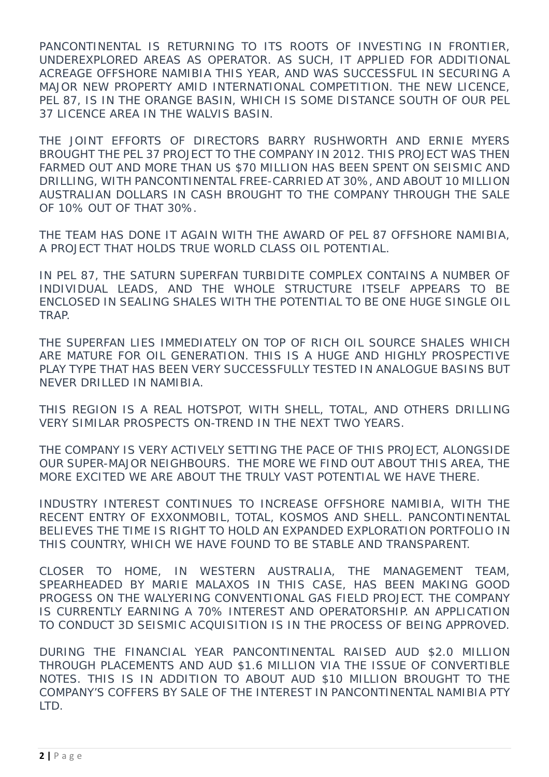PANCONTINENTAL IS RETURNING TO ITS ROOTS OF INVESTING IN FRONTIER, UNDEREXPLORED AREAS AS OPERATOR. AS SUCH, IT APPLIED FOR ADDITIONAL ACREAGE OFFSHORE NAMIBIA THIS YEAR, AND WAS SUCCESSFUL IN SECURING A MAJOR NEW PROPERTY AMID INTERNATIONAL COMPETITION. THE NEW LICENCE, PEL 87, IS IN THE ORANGE BASIN, WHICH IS SOME DISTANCE SOUTH OF OUR PEL 37 LICENCE AREA IN THE WALVIS BASIN.

THE JOINT EFFORTS OF DIRECTORS BARRY RUSHWORTH AND ERNIE MYERS BROUGHT THE PEL 37 PROJECT TO THE COMPANY IN 2012. THIS PROJECT WAS THEN FARMED OUT AND MORE THAN US \$70 MILLION HAS BEEN SPENT ON SEISMIC AND DRILLING, WITH PANCONTINENTAL FREE-CARRIED AT 30%, AND ABOUT 10 MILLION AUSTRALIAN DOLLARS IN CASH BROUGHT TO THE COMPANY THROUGH THE SALE OF 10% OUT OF THAT 30%.

THE TEAM HAS DONE IT AGAIN WITH THE AWARD OF PEL 87 OFFSHORE NAMIBIA, A PROJECT THAT HOLDS TRUE WORLD CLASS OIL POTENTIAL.

IN PEL 87, THE SATURN SUPERFAN TURBIDITE COMPLEX CONTAINS A NUMBER OF INDIVIDUAL LEADS, AND THE WHOLE STRUCTURE ITSELF APPEARS TO BE ENCLOSED IN SEALING SHALES WITH THE POTENTIAL TO BE ONE HUGE SINGLE OIL TRAP.

THE SUPERFAN LIES IMMEDIATELY ON TOP OF RICH OIL SOURCE SHALES WHICH ARE MATURE FOR OIL GENERATION. THIS IS A HUGE AND HIGHLY PROSPECTIVE PLAY TYPE THAT HAS BEEN VERY SUCCESSFULLY TESTED IN ANALOGUE BASINS BUT NEVER DRILLED IN NAMIBIA.

THIS REGION IS A REAL HOTSPOT, WITH SHELL, TOTAL, AND OTHERS DRILLING VERY SIMILAR PROSPECTS ON-TREND IN THE NEXT TWO YEARS.

THE COMPANY IS VERY ACTIVELY SETTING THE PACE OF THIS PROJECT, ALONGSIDE OUR SUPER-MAJOR NEIGHBOURS. THE MORE WE FIND OUT ABOUT THIS AREA, THE MORE EXCITED WE ARE ABOUT THE TRULY VAST POTENTIAL WE HAVE THERE.

INDUSTRY INTEREST CONTINUES TO INCREASE OFFSHORE NAMIBIA, WITH THE RECENT ENTRY OF EXXONMOBIL, TOTAL, KOSMOS AND SHELL. PANCONTINENTAL BELIEVES THE TIME IS RIGHT TO HOLD AN EXPANDED EXPLORATION PORTFOLIO IN THIS COUNTRY, WHICH WE HAVE FOUND TO BE STABLE AND TRANSPARENT.

CLOSER TO HOME, IN WESTERN AUSTRALIA, THE MANAGEMENT TEAM, SPEARHEADED BY MARIE MALAXOS IN THIS CASE, HAS BEEN MAKING GOOD PROGESS ON THE WALYERING CONVENTIONAL GAS FIELD PROJECT. THE COMPANY IS CURRENTLY EARNING A 70% INTEREST AND OPERATORSHIP. AN APPLICATION TO CONDUCT 3D SEISMIC ACQUISITION IS IN THE PROCESS OF BEING APPROVED.

DURING THE FINANCIAL YEAR PANCONTINENTAL RAISED AUD \$2.0 MILLION THROUGH PLACEMENTS AND AUD \$1.6 MILLION VIA THE ISSUE OF CONVERTIBLE NOTES. THIS IS IN ADDITION TO ABOUT AUD \$10 MILLION BROUGHT TO THE COMPANY'S COFFERS BY SALE OF THE INTEREST IN PANCONTINENTAL NAMIBIA PTY LTD.